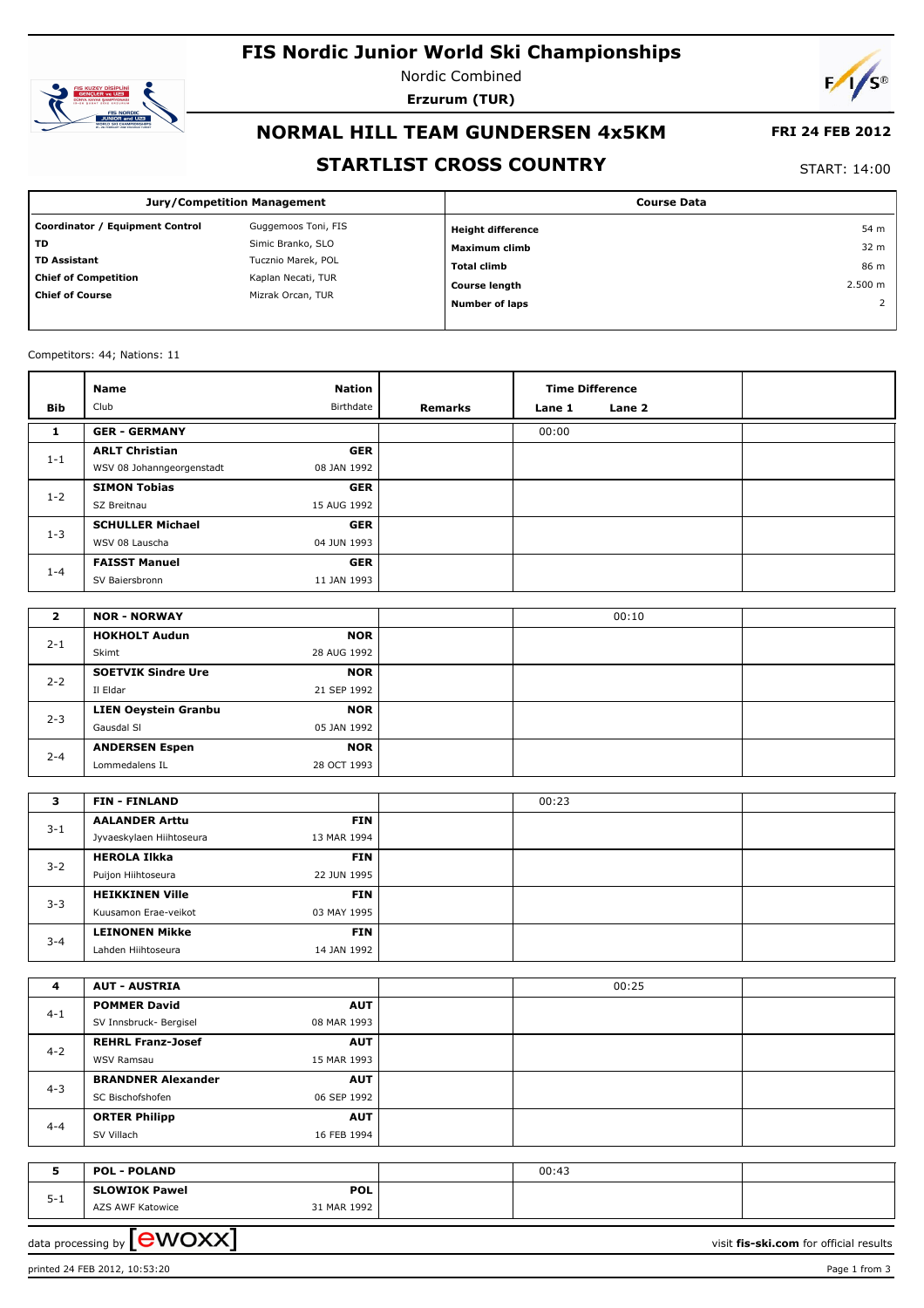# **FIS Nordic Junior World Ski Championships**



Nordic Combined **Erzurum (TUR)**



# **NORMAL HILL TEAM GUNDERSEN 4x5KM**

### **FRI 24 FEB 2012**

### **STARTLIST CROSS COUNTRY**

START: 14:00

| <b>Jury/Competition Management</b> |                     | <b>Course Data</b>       |                 |  |
|------------------------------------|---------------------|--------------------------|-----------------|--|
| Coordinator / Equipment Control    | Guggemoos Toni, FIS | <b>Height difference</b> | 54 m            |  |
| TD                                 | Simic Branko, SLO   | Maximum climb            | 32 <sub>m</sub> |  |
| <b>TD Assistant</b>                | Tucznio Marek, POL  | <b>Total climb</b>       | 86 m            |  |
| <b>Chief of Competition</b>        | Kaplan Necati, TUR  | <b>Course length</b>     | 2.500 m         |  |
| <b>Chief of Course</b>             | Mizrak Orcan, TUR   | <b>Number of laps</b>    |                 |  |

### Competitors: 44; Nations: 11

| Bib     | Name<br>Club              | <b>Nation</b><br>Birthdate | Remarks | <b>Time Difference</b><br>Lane 1 | Lane 2 |  |
|---------|---------------------------|----------------------------|---------|----------------------------------|--------|--|
| 1       | <b>GER - GERMANY</b>      |                            |         | 00:00                            |        |  |
|         | <b>ARLT Christian</b>     | <b>GER</b>                 |         |                                  |        |  |
| $1 - 1$ | WSV 08 Johanngeorgenstadt | 08 JAN 1992                |         |                                  |        |  |
| $1 - 2$ | <b>SIMON Tobias</b>       | <b>GER</b>                 |         |                                  |        |  |
|         | SZ Breitnau               | 15 AUG 1992                |         |                                  |        |  |
| $1 - 3$ | <b>SCHULLER Michael</b>   | <b>GER</b>                 |         |                                  |        |  |
|         | WSV 08 Lauscha            | 04 JUN 1993                |         |                                  |        |  |
| $1 - 4$ | <b>FAISST Manuel</b>      | <b>GER</b>                 |         |                                  |        |  |
|         | SV Baiersbronn            | 11 JAN 1993                |         |                                  |        |  |

| 2       | <b>NOR - NORWAY</b>         |             | 00:10 |  |
|---------|-----------------------------|-------------|-------|--|
|         | <b>HOKHOLT Audun</b>        | <b>NOR</b>  |       |  |
| $2 - 1$ | Skimt                       | 28 AUG 1992 |       |  |
|         | <b>SOETVIK Sindre Ure</b>   | <b>NOR</b>  |       |  |
| $2 - 2$ | Il Eldar                    | 21 SEP 1992 |       |  |
| $2 - 3$ | <b>LIEN Oeystein Granbu</b> | <b>NOR</b>  |       |  |
|         | Gausdal SI                  | 05 JAN 1992 |       |  |
| $2 - 4$ | <b>ANDERSEN Espen</b>       | <b>NOR</b>  |       |  |
|         | Lommedalens IL              | 28 OCT 1993 |       |  |

| з       | <b>FIN - FINLAND</b>     |             | 00:23 |  |
|---------|--------------------------|-------------|-------|--|
|         | <b>AALANDER Arttu</b>    | <b>FIN</b>  |       |  |
| $3 - 1$ | Jyvaeskylaen Hiihtoseura | 13 MAR 1994 |       |  |
| $3 - 2$ | <b>HEROLA Ilkka</b>      | <b>FIN</b>  |       |  |
|         | Puijon Hiihtoseura       | 22 JUN 1995 |       |  |
| $3 - 3$ | <b>HEIKKINEN Ville</b>   | <b>FIN</b>  |       |  |
|         | Kuusamon Erae-veikot     | 03 MAY 1995 |       |  |
| $3 - 4$ | <b>LEINONEN Mikke</b>    | <b>FIN</b>  |       |  |
|         | Lahden Hiihtoseura       | 14 JAN 1992 |       |  |

| 4       | <b>AUT - AUSTRIA</b>      |             | 00:25 |  |
|---------|---------------------------|-------------|-------|--|
|         | <b>POMMER David</b>       | <b>AUT</b>  |       |  |
| $4 - 1$ | SV Innsbruck- Bergisel    | 08 MAR 1993 |       |  |
| $4 - 2$ | <b>REHRL Franz-Josef</b>  | <b>AUT</b>  |       |  |
|         | <b>WSV Ramsau</b>         | 15 MAR 1993 |       |  |
|         | <b>BRANDNER Alexander</b> | <b>AUT</b>  |       |  |
| $4 - 3$ | SC Bischofshofen          | 06 SEP 1992 |       |  |
| $4 - 4$ | <b>ORTER Philipp</b>      | <b>AUT</b>  |       |  |
|         | SV Villach                | 16 FEB 1994 |       |  |

|                   | <b>POL - POLAND</b>  |             | 00:43 |  |
|-------------------|----------------------|-------------|-------|--|
| - -<br>5-<br>ັບ ⊥ | <b>SLOWIOK Pawel</b> | <b>POL</b>  |       |  |
|                   | AZS AWF Katowice     | 31 MAR 1992 |       |  |

data processing by **CWOXX**  $\blacksquare$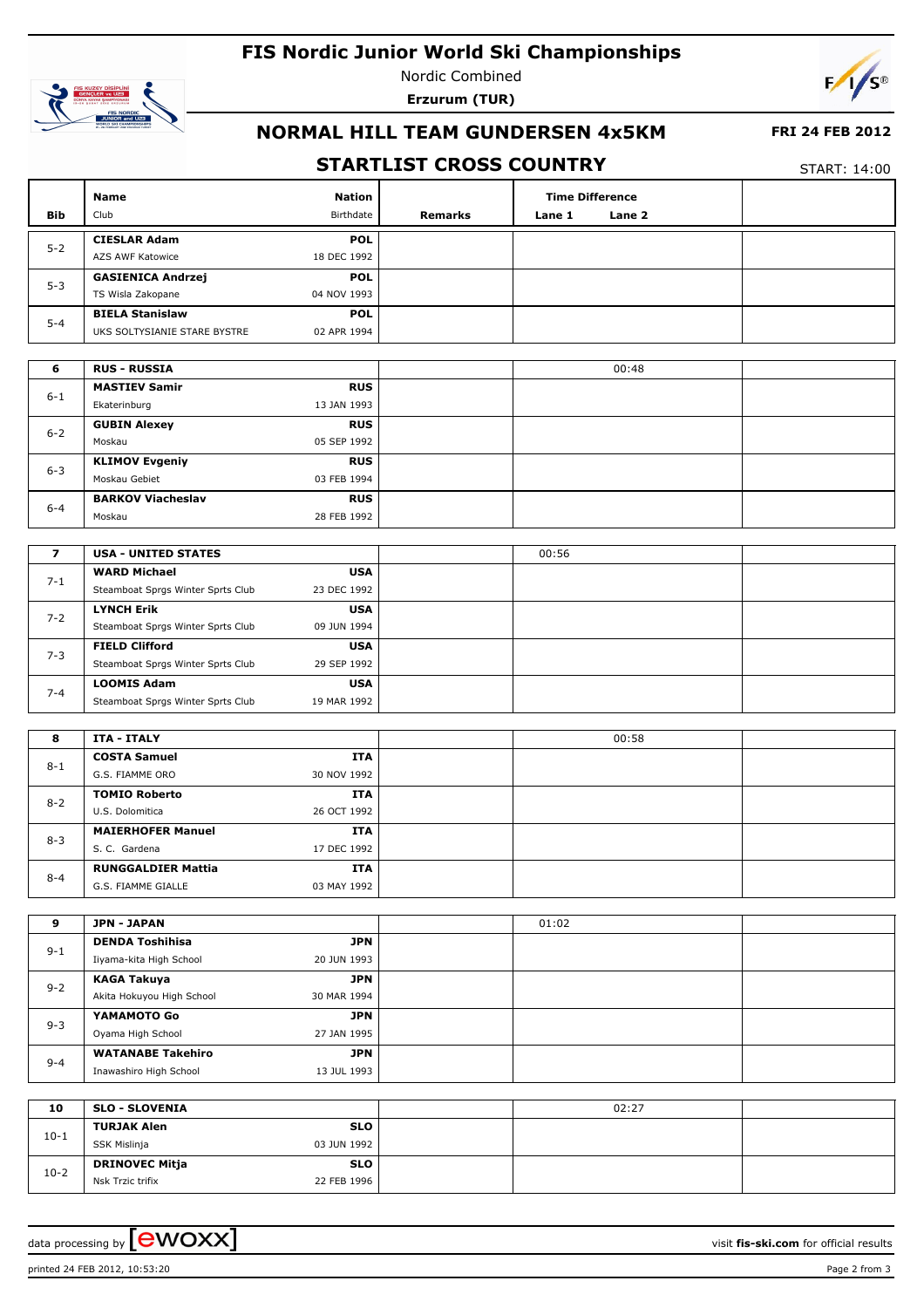# **FIS Nordic Junior World Ski Championships**



П

Nordic Combined **Erzurum (TUR)**



## **NORMAL HILL TEAM GUNDERSEN 4x5KM**

#### **FRI 24 FEB 2012**

### **STARTLIST CROSS COUNTRY**

т

T

START: 14:00

|                         | Name                                   | <b>Nation</b>      |         |        | <b>Time Difference</b> |  |
|-------------------------|----------------------------------------|--------------------|---------|--------|------------------------|--|
| Bib                     | Club                                   | Birthdate          | Remarks | Lane 1 | Lane 2                 |  |
|                         | <b>CIESLAR Adam</b>                    | <b>POL</b>         |         |        |                        |  |
| $5 - 2$                 | AZS AWF Katowice                       | 18 DEC 1992        |         |        |                        |  |
|                         | <b>GASIENICA Andrzej</b>               | <b>POL</b>         |         |        |                        |  |
| $5 - 3$                 | TS Wisla Zakopane                      | 04 NOV 1993        |         |        |                        |  |
|                         | <b>BIELA Stanislaw</b>                 | <b>POL</b>         |         |        |                        |  |
| $5 - 4$                 | UKS SOLTYSIANIE STARE BYSTRE           | 02 APR 1994        |         |        |                        |  |
|                         |                                        |                    |         |        |                        |  |
| 6                       | <b>RUS - RUSSIA</b>                    |                    |         |        | 00:48                  |  |
|                         | <b>MASTIEV Samir</b>                   | <b>RUS</b>         |         |        |                        |  |
| $6 - 1$                 | Ekaterinburg                           | 13 JAN 1993        |         |        |                        |  |
|                         | <b>GUBIN Alexey</b>                    | <b>RUS</b>         |         |        |                        |  |
| $6 - 2$                 | Moskau                                 | 05 SEP 1992        |         |        |                        |  |
|                         | <b>KLIMOV Evgeniy</b>                  | <b>RUS</b>         |         |        |                        |  |
| $6 - 3$                 | Moskau Gebiet                          | 03 FEB 1994        |         |        |                        |  |
|                         | <b>BARKOV Viacheslav</b>               | <b>RUS</b>         |         |        |                        |  |
| $6 - 4$                 | Moskau                                 | 28 FEB 1992        |         |        |                        |  |
|                         |                                        |                    |         |        |                        |  |
| $\overline{\mathbf{z}}$ | <b>USA - UNITED STATES</b>             |                    |         | 00:56  |                        |  |
| $7 - 1$                 | <b>WARD Michael</b>                    | <b>USA</b>         |         |        |                        |  |
|                         | Steamboat Sprgs Winter Sprts Club      | 23 DEC 1992        |         |        |                        |  |
| $7 - 2$                 | <b>LYNCH Erik</b>                      | <b>USA</b>         |         |        |                        |  |
|                         | Steamboat Sprgs Winter Sprts Club      | 09 JUN 1994        |         |        |                        |  |
| $7 - 3$                 | <b>FIELD Clifford</b>                  | <b>USA</b>         |         |        |                        |  |
|                         | Steamboat Sprgs Winter Sprts Club      | 29 SEP 1992        |         |        |                        |  |
| $7 - 4$                 | <b>LOOMIS Adam</b>                     | <b>USA</b>         |         |        |                        |  |
|                         | Steamboat Sprgs Winter Sprts Club      | 19 MAR 1992        |         |        |                        |  |
|                         |                                        |                    |         |        |                        |  |
| 8                       | <b>ITA - ITALY</b>                     |                    |         |        | 00:58                  |  |
| $8 - 1$                 | <b>COSTA Samuel</b><br>G.S. FIAMME ORO | ITA<br>30 NOV 1992 |         |        |                        |  |
|                         | <b>TOMIO Roberto</b>                   | ITA                |         |        |                        |  |
| $8 - 2$                 | U.S. Dolomitica                        | 26 OCT 1992        |         |        |                        |  |
|                         | <b>MAIERHOFER Manuel</b>               | ITA                |         |        |                        |  |
| $8 - 3$                 | S. C. Gardena                          | 17 DEC 1992        |         |        |                        |  |
|                         | <b>RUNGGALDIER Mattia</b>              | ITA                |         |        |                        |  |
| $8 - 4$                 | G.S. FIAMME GIALLE                     | 03 MAY 1992        |         |        |                        |  |
|                         |                                        |                    |         |        |                        |  |
| 9                       | <b>JPN - JAPAN</b>                     |                    |         | 01:02  |                        |  |
|                         | <b>DENDA Toshihisa</b>                 | <b>JPN</b>         |         |        |                        |  |
| $9 - 1$                 | Iiyama-kita High School                | 20 JUN 1993        |         |        |                        |  |
|                         | <b>KAGA Takuya</b>                     | <b>JPN</b>         |         |        |                        |  |
| $9 - 2$                 | Akita Hokuyou High School              | 30 MAR 1994        |         |        |                        |  |
|                         | YAMAMOTO Go                            | <b>JPN</b>         |         |        |                        |  |
| $9 - 3$                 | Oyama High School                      | 27 JAN 1995        |         |        |                        |  |
|                         | <b>WATANABE Takehiro</b>               | <b>JPN</b>         |         |        |                        |  |
| $9 - 4$                 | Inawashiro High School                 | 13 JUL 1993        |         |        |                        |  |
|                         |                                        |                    |         |        |                        |  |
| 10                      | <b>SLO - SLOVENIA</b>                  |                    |         |        | 02:27                  |  |
| $10 - 1$                | <b>TURJAK Alen</b>                     | <b>SLO</b>         |         |        |                        |  |
|                         | SSK Mislinja                           | 03 JUN 1992        |         |        |                        |  |
| $10-2$                  | <b>DRINOVEC Mitja</b>                  | <b>SLO</b>         |         |        |                        |  |

data processing by  $\boxed{\text{ewOX}}$ 

Nsk Trzic trifix

22 FEB 1996